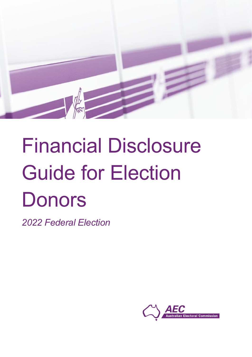

# Financial Disclosure Guide for Election **Donors**

*2022 Federal Election*

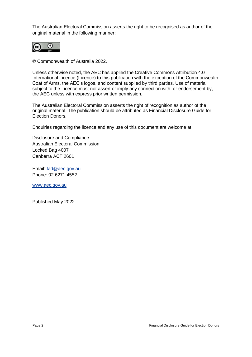The Australian Electoral Commission asserts the right to be recognised as author of the original material in the following manner:



© Commonwealth of Australia 2022.

Unless otherwise noted, the AEC has applied the Creative Commons Attribution 4.0 International Licence (Licence) to this publication with the exception of the Commonwealth Coat of Arms, the AEC's logos, and content supplied by third parties. Use of material subject to the Licence must not assert or imply any connection with, or endorsement by, the AEC unless with express prior written permission.

The Australian Electoral Commission asserts the right of recognition as author of the original material. The publication should be attributed as Financial Disclosure Guide for Election Donors.

Enquiries regarding the licence and any use of this document are welcome at:

Disclosure and Compliance Australian Electoral Commission Locked Bag 4007 Canberra ACT 2601

Email: [fad@aec.gov.au](mailto:fad@aec.gov.au) Phone: 02 6271 4552

[www.aec.gov.au](http://www.aec.gov.au/)

Published May 2022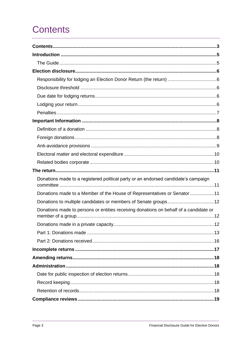# <span id="page-2-0"></span>**Contents**

| Donations made to a registered political party or an endorsed candidate's campaign    |
|---------------------------------------------------------------------------------------|
| Donations made to a Member of the House of Representatives or Senator 11              |
| Donations to multiple candidates or members of Senate groups12                        |
| Donations made to persons or entities receiving donations on behalf of a candidate or |
|                                                                                       |
|                                                                                       |
|                                                                                       |
|                                                                                       |
|                                                                                       |
|                                                                                       |
|                                                                                       |
|                                                                                       |
|                                                                                       |
|                                                                                       |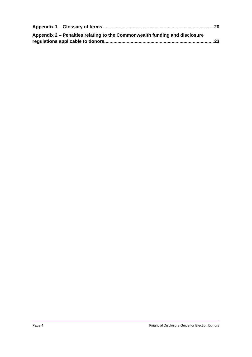| Appendix 2 – Penalties relating to the Commonwealth funding and disclosure |  |
|----------------------------------------------------------------------------|--|
|                                                                            |  |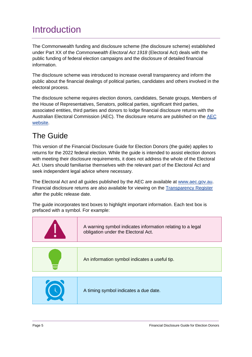# <span id="page-4-0"></span>Introduction

The Commonwealth funding and disclosure scheme (the disclosure scheme) established under Part XX of the *Commonwealth Electoral Act 1918* (Electoral Act) deals with the public funding of federal election campaigns and the disclosure of detailed financial information.

The disclosure scheme was introduced to increase overall transparency and inform the public about the financial dealings of political parties, candidates and others involved in the electoral process.

The disclosure scheme requires election donors, candidates, Senate groups, Members of the House of Representatives, Senators, political parties, significant third parties, associated entities, third parties and donors to lodge financial disclosure returns with the Australian Electoral Commission (AEC). The disclosure returns are published on the [AEC](http://www.aec.gov.au/)  [website.](http://www.aec.gov.au/)

## <span id="page-4-1"></span>The Guide

This version of the Financial Disclosure Guide for Election Donors (the guide) applies to returns for the 2022 federal election. While the guide is intended to assist election donors with meeting their disclosure requirements, it does not address the whole of the Electoral Act. Users should familiarise themselves with the relevant part of the Electoral Act and seek independent legal advice where necessary.

The Electoral Act and all guides published by the AEC are available at [www.aec.gov.au.](http://www.aec.gov.au/) Financial disclosure returns are also available for viewing on the [Transparency Register](https://transparency.aec.gov.au/) after the public release date.

The guide incorporates text boxes to highlight important information. Each text box is prefaced with a symbol. For example:

| A warning symbol indicates information relating to a legal<br>obligation under the Electoral Act. |  |  |  |
|---------------------------------------------------------------------------------------------------|--|--|--|
|                                                                                                   |  |  |  |
| An information symbol indicates a useful tip.                                                     |  |  |  |
|                                                                                                   |  |  |  |
| A timing symbol indicates a due date.                                                             |  |  |  |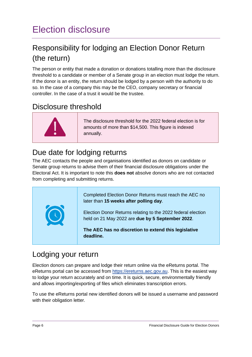# <span id="page-5-0"></span>Election disclosure

## <span id="page-5-1"></span>Responsibility for lodging an Election Donor Return (the return)

The person or entity that made a donation or donations totalling more than the disclosure threshold to a candidate or member of a Senate group in an election must lodge the return. If the donor is an entity, the return should be lodged by a person with the authority to do so. In the case of a company this may be the CEO, company secretary or financial controller. In the case of a trust it would be the trustee.

## <span id="page-5-2"></span>Disclosure threshold



The disclosure threshold for the 2022 federal election is for amounts of more than \$14,500. This figure is indexed annually.

## <span id="page-5-3"></span>Due date for lodging returns

The AEC contacts the people and organisations identified as donors on candidate or Senate group returns to advise them of their financial disclosure obligations under the Electoral Act. It is important to note this **does not** absolve donors who are not contacted from completing and submitting returns.



## <span id="page-5-4"></span>Lodging your return

Election donors can prepare and lodge their return online via the eReturns portal. The eReturns portal can be accessed from [https://ereturns.aec.gov.au.](https://ereturns.aec.gov.au/) This is the easiest way to lodge your return accurately and on time. It is quick, secure, environmentally friendly and allows importing/exporting of files which eliminates transcription errors.

To use the eReturns portal new identified donors will be issued a username and password with their obligation letter.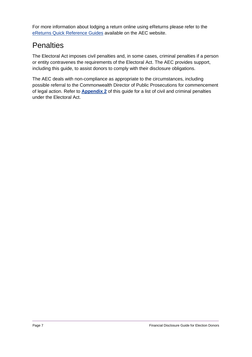For more information about lodging a return online using eReturns please refer to the [eReturns Quick Reference Guides](https://www.aec.gov.au/Parties_and_Representatives/financial_disclosure/returns.htm#eReturns) available on the AEC website.

## <span id="page-6-0"></span>**Penalties**

The Electoral Act imposes civil penalties and, in some cases, criminal penalties if a person or entity contravenes the requirements of the Electoral Act. The AEC provides support, including this guide, to assist donors to comply with their disclosure obligations.

The AEC deals with non-compliance as appropriate to the circumstances, including possible referral to the Commonwealth Director of Public Prosecutions for commencement of legal action. Refer to **[Appendix](#page-22-0) 2** of this guide for a list of civil and criminal penalties under the Electoral Act.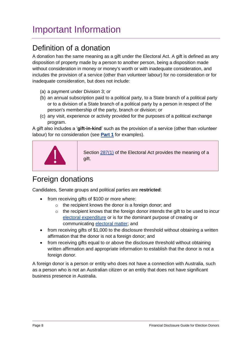# <span id="page-7-0"></span>Important Information

## <span id="page-7-1"></span>Definition of a donation

A donation has the same meaning as a gift under the Electoral Act. A gift is defined as any disposition of property made by a person to another person, being a disposition made without consideration in money or money's worth or with inadequate consideration, and includes the provision of a service (other than volunteer labour) for no consideration or for inadequate consideration, but does not include:

- (a) a payment under Division 3; or
- (b) an annual subscription paid to a political party, to a State branch of a political party or to a division of a State branch of a political party by a person in respect of the person's membership of the party, branch or division; or
- (c) any visit, experience or activity provided for the purposes of a political exchange program.

A gift also includes a '**gift-in-kind**' such as the provision of a service (other than volunteer labour) for no consideration (see **[Part 1](#page-13-0)** for examples).



Section  $287(1)$  of the Electoral Act provides the meaning of a gift.

## <span id="page-7-2"></span>Foreign donations

Candidates, Senate groups and political parties are **restricted**:

- from receiving gifts of \$100 or more where:
	- o the recipient knows the donor is a foreign donor; and
	- $\circ$  the recipient knows that the foreign donor intends the gift to be used to incur [electoral expenditure](https://www.aec.gov.au/Parties_and_Representatives/financial_disclosure/files/electoral-matter-and-electoral-expenditure-fact-sheet.pdf) or is for the dominant purpose of creating or communicating [electoral matter;](https://www.aec.gov.au/Parties_and_Representatives/financial_disclosure/files/electoral-matter-and-electoral-expenditure-fact-sheet.pdf) and
- from receiving gifts of \$1,000 to the disclosure threshold without obtaining a written affirmation that the donor is not a foreign donor; and
- from receiving gifts equal to or above the disclosure threshold without obtaining written affirmation and appropriate information to establish that the donor is not a foreign donor.

A foreign donor is a person or entity who does not have a connection with Australia, such as a person who is not an Australian citizen or an entity that does not have significant business presence in Australia.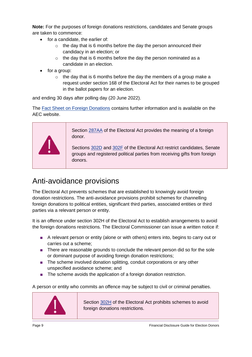**Note:** For the purposes of foreign donations restrictions, candidates and Senate groups are taken to commence:

- for a candidate, the earlier of:
	- $\circ$  the day that is 6 months before the day the person announced their candidacy in an election; or
	- $\circ$  the day that is 6 months before the day the person nominated as a candidate in an election.
- for a group:
	- $\circ$  the day that is 6 months before the day the members of a group make a request under section 168 of the Electoral Act for their names to be grouped in the ballot papers for an election.

and ending 30 days after polling day (20 June 2022).

The [Fact Sheet on Foreign Donations](https://www.aec.gov.au/Parties_and_Representatives/financial_disclosure/files/foreign-donations-fact-sheet.pdf) contains further information and is available on the AEC website.



Section [287AA](http://www6.austlii.edu.au/cgi-bin/viewdoc/au/legis/cth/consol_act/cea1918233/s287aa.html) of the Electoral Act provides the meaning of a foreign donor.

Sections [302D](http://www6.austlii.edu.au/cgi-bin/viewdoc/au/legis/cth/consol_act/cea1918233/s302d.html) and [302F](http://www6.austlii.edu.au/cgi-bin/viewdoc/au/legis/cth/consol_act/cea1918233/s302f.html) of the Electoral Act restrict candidates, Senate groups and registered political parties from receiving gifts from foreign donors.

## <span id="page-8-0"></span>Anti-avoidance provisions

The Electoral Act prevents schemes that are established to knowingly avoid foreign donation restrictions. The anti-avoidance provisions prohibit schemes for channelling foreign donations to political entities, significant third parties, associated entities or third parties via a relevant person or entity.

It is an offence under section 302H of the Electoral Act to establish arrangements to avoid the foreign donations restrictions. The Electoral Commissioner can issue a written notice if:

- A relevant person or entity (alone or with others) enters into, begins to carry out or carries out a scheme;
- There are reasonable grounds to conclude the relevant person did so for the sole or dominant purpose of avoiding foreign donation restrictions;
- The scheme involved donation splitting, conduit corporations or any other unspecified avoidance scheme; and
- The scheme avoids the application of a foreign donation restriction.

A person or entity who commits an offence may be subject to civil or criminal penalties.



Section [302H](http://www6.austlii.edu.au/cgi-bin/viewdoc/au/legis/cth/consol_act/cea1918233/s302h.html) of the Electoral Act prohibits schemes to avoid foreign donations restrictions.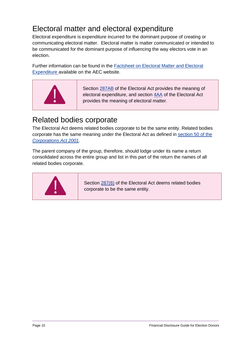## <span id="page-9-0"></span>Electoral matter and electoral expenditure

Electoral expenditure is expenditure incurred for the dominant purpose of creating or communicating electoral matter. Electoral matter is matter communicated or intended to be communicated for the dominant purpose of influencing the way electors vote in an election.

Further information can be found in the [Factsheet on Electoral Matter and Electoral](https://www.aec.gov.au/Parties_and_Representatives/financial_disclosure/files/electoral-matter-and-electoral-expenditure-fact-sheet.pdf)  [Expenditure](https://www.aec.gov.au/Parties_and_Representatives/financial_disclosure/files/electoral-matter-and-electoral-expenditure-fact-sheet.pdf) available on the AEC website.



Section [287AB](http://www6.austlii.edu.au/cgi-bin/viewdoc/au/legis/cth/consol_act/cea1918233/s287ab.html) of the Electoral Act provides the meaning of electoral expenditure, and section [4AA](http://www6.austlii.edu.au/cgi-bin/viewdoc/au/legis/cth/consol_act/cea1918233/s4aa.html) of the Electoral Act provides the meaning of electoral matter.

## <span id="page-9-1"></span>Related bodies corporate

The Electoral Act deems related bodies corporate to be the same entity. Related bodies corporate has the same meaning under the Electoral Act as defined in [section 50 of the](http://www5.austlii.edu.au/au/legis/cth/num_act/ca2001172/s50.html) *[Corporations Act 2001](http://www5.austlii.edu.au/au/legis/cth/num_act/ca2001172/s50.html)*.

The parent company of the group, therefore, should lodge under its name a return consolidated across the entire group and list in this part of the return the names of all related bodies corporate.



Section [287\(6\)](http://www6.austlii.edu.au/cgi-bin/viewdoc/au/legis/cth/consol_act/cea1918233/s287.html) of the Electoral Act deems related bodies corporate to be the same entity.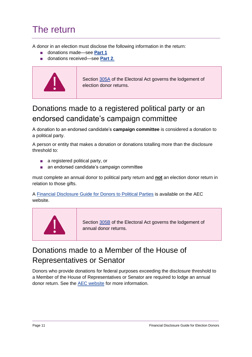## <span id="page-10-0"></span>The return

A donor in an election must disclose the following information in the return:

- donations made—see **[Part 1](#page-12-0)**
- donations received—see **[Part 2](#page-15-0)**.



Section [305A](http://www6.austlii.edu.au/cgi-bin/viewdoc/au/legis/cth/consol_act/cea1918233/s305a.html) of the Electoral Act governs the lodgement of election donor returns.

## <span id="page-10-1"></span>Donations made to a registered political party or an endorsed candidate's campaign committee

A donation to an endorsed candidate's **campaign committee** is considered a donation to a political party.

A person or entity that makes a donation or donations totalling more than the disclosure threshold to:

- a registered political party, or
- an endorsed candidate's campaign committee

must complete an annual donor to political party return and **not** an election donor return in relation to those gifts.

A [Financial Disclosure Guide for Donors to Political Parties](https://www.aec.gov.au/Parties_and_Representatives/financial_disclosure/guides/donors/index.htm) is available on the AEC website.



Section [305B](http://www6.austlii.edu.au/cgi-bin/viewdoc/au/legis/cth/consol_act/cea1918233/s305b.html) of the Electoral Act governs the lodgement of annual donor returns.

## <span id="page-10-2"></span>Donations made to a Member of the House of Representatives or Senator

Donors who provide donations for federal purposes exceeding the disclosure threshold to a Member of the House of Representatives or Senator are required to lodge an annual donor return. See the [AEC website](https://www.aec.gov.au/Parties_and_Representatives/financial_disclosure/guides/donors/index.htm) for more information.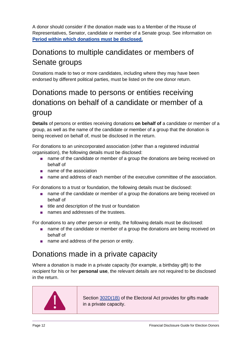A donor should consider if the donation made was to a Member of the House of Representatives, Senator, candidate or member of a Senate group. See information on **[Period within which donations must be disclosed.](#page-12-1)**

## <span id="page-11-0"></span>Donations to multiple candidates or members of Senate groups

Donations made to two or more candidates, including where they may have been endorsed by different political parties, must be listed on the one donor return.

## <span id="page-11-1"></span>Donations made to persons or entities receiving donations on behalf of a candidate or member of a group

**Details** of persons or entities receiving donations **on behalf of** a candidate or member of a group, as well as the name of the candidate or member of a group that the donation is being received on behalf of, must be disclosed in the return.

For donations to an unincorporated association (other than a registered industrial organisation), the following details must be disclosed:

- name of the candidate or member of a group the donations are being received on behalf of
- name of the association
- name and address of each member of the executive committee of the association.

For donations to a trust or foundation, the following details must be disclosed:

- name of the candidate or member of a group the donations are being received on behalf of
- title and description of the trust or foundation
- names and addresses of the trustees.

For donations to any other person or entity, the following details must be disclosed:

- name of the candidate or member of a group the donations are being received on behalf of
- name and address of the person or entity.

## <span id="page-11-2"></span>Donations made in a private capacity

Where a donation is made in a private capacity (for example, a birthday gift) to the recipient for his or her **personal use**, the relevant details are not required to be disclosed in the return.



Section [302D\(1B\)](http://www6.austlii.edu.au/cgi-bin/viewdoc/au/legis/cth/consol_act/cea1918233/s302d.html) of the Electoral Act provides for gifts made in a private capacity.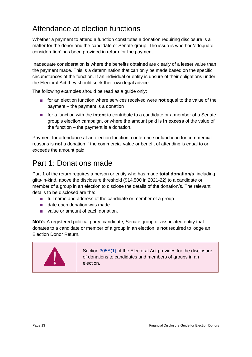## Attendance at election functions

Whether a payment to attend a function constitutes a donation requiring disclosure is a matter for the donor and the candidate or Senate group. The issue is whether 'adequate consideration' has been provided in return for the payment.

Inadequate consideration is where the benefits obtained are clearly of a lesser value than the payment made. This is a determination that can only be made based on the specific circumstances of the function. If an individual or entity is unsure of their obligations under the Electoral Act they should seek their own legal advice.

The following examples should be read as a quide only:

- for an election function where services received were **not** equal to the value of the payment – the payment is a donation
- for a function with the **intent** to contribute to a candidate or a member of a Senate group's election campaign, or where the amount paid is **in excess** of the value of the function – the payment is a donation.

Payment for attendance at an election function, conference or luncheon for commercial reasons is **not** a donation if the commercial value or benefit of attending is equal to or exceeds the amount paid.

## <span id="page-12-0"></span>Part 1: Donations made

Part 1 of the return requires a person or entity who has made **total donation/s**, including gifts-in-kind, above the disclosure threshold (\$14,500 in 2021-22) to a candidate or member of a group in an election to disclose the details of the donation/s. The relevant details to be disclosed are the:

- full name and address of the candidate or member of a group
- date each donation was made
- value or amount of each donation.

**Note:** A registered political party, candidate, Senate group or associated entity that donates to a candidate or member of a group in an election is **not** required to lodge an Election Donor Return.

<span id="page-12-1"></span>

Section [305A\(1\)](http://www6.austlii.edu.au/cgi-bin/viewdoc/au/legis/cth/consol_act/cea1918233/s305a.html) of the Electoral Act provides for the disclosure of donations to candidates and members of groups in an election.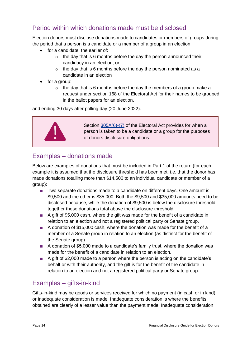#### Period within which donations made must be disclosed

Election donors must disclose donations made to candidates or members of groups during the period that a person is a candidate or a member of a group in an election:

- for a candidate, the earlier of:
	- $\circ$  the day that is 6 months before the day the person announced their candidacy in an election; or
	- $\circ$  the day that is 6 months before the day the person nominated as a candidate in an election
- for a group:
	- $\circ$  the day that is 6 months before the day the members of a group make a request under section 168 of the Electoral Act for their names to be grouped in the ballot papers for an election.

and ending 30 days after polling day (20 June 2022).



Section [305A\(6\)-\(7\)](http://www6.austlii.edu.au/cgi-bin/viewdoc/au/legis/cth/consol_act/cea1918233/s305a.html) of the Electoral Act provides for when a person is taken to be a candidate or a group for the purposes of donors disclosure obligations.

#### Examples – donations made

Below are examples of donations that must be included in Part 1 of the return (for each example it is assumed that the disclosure threshold has been met, i.e. that the donor has made donations totalling more than \$14,500 to an individual candidate or member of a group):

- Two separate donations made to a candidate on different days. One amount is \$9,500 and the other is \$35,000. Both the \$9,500 and \$35,000 amounts need to be disclosed because, while the donation of \$9,500 is below the disclosure threshold, together these donations total above the disclosure threshold.
- A gift of \$5,000 cash, where the gift was made for the benefit of a candidate in relation to an election and not a registered political party or Senate group.
- A donation of \$15,000 cash, where the donation was made for the benefit of a member of a Senate group in relation to an election (as distinct for the benefit of the Senate group).
- A donation of \$5,000 made to a candidate's family trust, where the donation was made for the benefit of a candidate in relation to an election.
- A gift of \$2,000 made to a person where the person is acting on the candidate's behalf or with their authority, and the gift is for the benefit of the candidate in relation to an election and not a registered political party or Senate group.

#### <span id="page-13-0"></span>Examples – gifts-in-kind

Gifts-in-kind may be goods or services received for which no payment (in cash or in kind) or inadequate consideration is made. Inadequate consideration is where the benefits obtained are clearly of a lesser value than the payment made. Inadequate consideration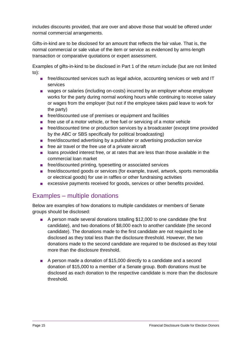includes discounts provided, that are over and above those that would be offered under normal commercial arrangements.

Gifts-in-kind are to be disclosed for an amount that reflects the fair value. That is, the normal commercial or sale value of the item or service as evidenced by arms-length transaction or comparative quotations or expert assessment.

Examples of gifts-in-kind to be disclosed in Part 1 of the return include (but are not limited to):

- free/discounted services such as legal advice, accounting services or web and IT services
- wages or salaries (including on-costs) incurred by an employer whose employee works for the party during normal working hours while continuing to receive salary or wages from the employer (but not if the employee takes paid leave to work for the party)
- free/discounted use of premises or equipment and facilities
- free use of a motor vehicle, or free fuel or servicing of a motor vehicle
- free/discounted time or production services by a broadcaster (except time provided by the ABC or SBS specifically for political broadcasting)
- free/discounted advertising by a publisher or advertising production service
- free air travel or the free use of a private aircraft
- loans provided interest free, or at rates that are less than those available in the commercial loan market
- free/discounted printing, typesetting or associated services
- free/discounted goods or services (for example, travel, artwork, sports memorabilia or electrical goods) for use in raffles or other fundraising activities
- excessive payments received for goods, services or other benefits provided.

#### Examples – multiple donations

Below are examples of how donations to multiple candidates or members of Senate groups should be disclosed:

- A person made several donations totalling \$12,000 to one candidate (the first candidate), and two donations of \$8,000 each to another candidate (the second candidate). The donations made to the first candidate are not required to be disclosed as they total less than the disclosure threshold. However, the two donations made to the second candidate are required to be disclosed as they total more than the disclosure threshold.
- A person made a donation of \$15,000 directly to a candidate and a second donation of \$15,000 to a member of a Senate group. Both donations must be disclosed as each donation to the respective candidate is more than the disclosure threshold.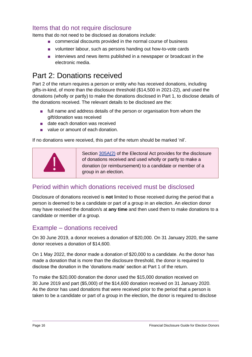#### Items that do not require disclosure

Items that do not need to be disclosed as donations include:

- commercial discounts provided in the normal course of business
- volunteer labour, such as persons handing out how-to-vote cards
- interviews and news items published in a newspaper or broadcast in the electronic media.

## <span id="page-15-0"></span>Part 2: Donations received

Part 2 of the return requires a person or entity who has received donations, including gifts-in-kind, of more than the disclosure threshold (\$14,500 in 2021-22), and used the donations (wholly or partly) to make the donations disclosed in Part 1, to disclose details of the donations received. The relevant details to be disclosed are the:

- full name and address details of the person or organisation from whom the gift/donation was received
- date each donation was received
- value or amount of each donation.

If no donations were received, this part of the return should be marked 'nil'.



Section [305A\(2\)](http://www6.austlii.edu.au/cgi-bin/viewdoc/au/legis/cth/consol_act/cea1918233/s305a.html) of the Electoral Act provides for the disclosure of donations received and used wholly or partly to make a donation (or reimbursement) to a candidate or member of a group in an election.

#### Period within which donations received must be disclosed

Disclosure of donations received is **not** limited to those received during the period that a person is deemed to be a candidate or part of a group in an election. An election donor may have received the donation/s at **any time** and then used them to make donations to a candidate or member of a group.

#### Example – donations received

On 30 June 2019, a donor receives a donation of \$20,000. On 31 January 2020, the same donor receives a donation of \$14,600.

On 1 May 2022, the donor made a donation of \$20,000 to a candidate. As the donor has made a donation that is more than the disclosure threshold, the donor is required to disclose the donation in the 'donations made' section at Part 1 of the return.

To make the \$20,000 donation the donor used the \$15,000 donation received on 30 June 2019 and part (\$5,000) of the \$14,600 donation received on 31 January 2020. As the donor has used donations that were received prior to the period that a person is taken to be a candidate or part of a group in the election, the donor is required to disclose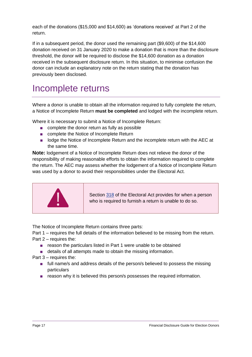each of the donations (\$15,000 and \$14,600) as 'donations received' at Part 2 of the return.

If in a subsequent period, the donor used the remaining part (\$9,600) of the \$14,600 donation received on 31 January 2020 to make a donation that is more than the disclosure threshold, the donor will be required to disclose the \$14,600 donation as a donation received in the subsequent disclosure return. In this situation, to minimise confusion the donor can include an explanatory note on the return stating that the donation has previously been disclosed.

# <span id="page-16-0"></span>Incomplete returns

Where a donor is unable to obtain all the information required to fully complete the return, a Notice of Incomplete Return **must be completed** and lodged with the incomplete return.

Where it is necessary to submit a Notice of Incomplete Return:

- complete the donor return as fully as possible
- complete the Notice of Incomplete Return
- lodge the Notice of Incomplete Return and the incomplete return with the AEC at the same time.

**Note:** lodgement of a Notice of Incomplete Return does not relieve the donor of the responsibility of making reasonable efforts to obtain the information required to complete the return. The AEC may assess whether the lodgement of a Notice of Incomplete Return was used by a donor to avoid their responsibilities under the Electoral Act.



Section [318](http://www6.austlii.edu.au/cgi-bin/viewdoc/au/legis/cth/consol_act/cea1918233/s318.html) of the Electoral Act provides for when a person who is required to furnish a return is unable to do so.

The Notice of Incomplete Return contains three parts:

Part 1 – requires the full details of the information believed to be missing from the return. Part 2 – requires the:

- reason the particulars listed in Part 1 were unable to be obtained
- details of all attempts made to obtain the missing information.
- Part 3 requires the:
	- full name/s and address details of the person/s believed to possess the missing particulars
	- reason why it is believed this person/s possesses the required information.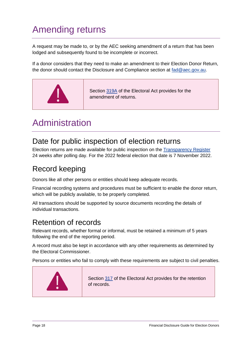# <span id="page-17-0"></span>Amending returns

A request may be made to, or by the AEC seeking amendment of a return that has been lodged and subsequently found to be incomplete or incorrect.

If a donor considers that they need to make an amendment to their Election Donor Return, the donor should contact the Disclosure and Compliance section at [fad@aec.gov.au.](mailto:fad@aec.gov.au)



# <span id="page-17-1"></span>Administration

## <span id="page-17-2"></span>Date for public inspection of election returns

Election returns are made available for public inspection on the [Transparency Register](https://transparency.aec.gov.au/) 24 weeks after polling day. For the 2022 federal election that date is 7 November 2022.

## <span id="page-17-3"></span>Record keeping

Donors like all other persons or entities should keep adequate records.

Financial recording systems and procedures must be sufficient to enable the donor return, which will be publicly available, to be properly completed.

All transactions should be supported by source documents recording the details of individual transactions.

## <span id="page-17-4"></span>Retention of records

Relevant records, whether formal or informal, must be retained a minimum of 5 years following the end of the reporting period.

A record must also be kept in accordance with any other requirements as determined by the Electoral Commissioner.

Persons or entities who fail to comply with these requirements are subject to civil penalties.

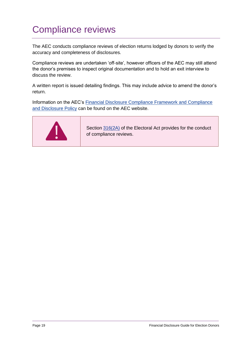# <span id="page-18-0"></span>Compliance reviews

The AEC conducts compliance reviews of election returns lodged by donors to verify the accuracy and completeness of disclosures.

Compliance reviews are undertaken 'off-site', however officers of the AEC may still attend the donor's premises to inspect original documentation and to hold an exit interview to discuss the review.

A written report is issued detailing findings. This may include advice to amend the donor's return.

Information on the AEC's [Financial Disclosure Compliance Framework and Compliance](https://www.aec.gov.au/Parties_and_Representatives/compliance/index.htm)  [and Disclosure Policy](https://www.aec.gov.au/Parties_and_Representatives/compliance/index.htm) can be found on the AEC website.



Section [316\(2A\)](http://www6.austlii.edu.au/cgi-bin/viewdoc/au/legis/cth/consol_act/cea1918233/s316.html) of the Electoral Act provides for the conduct of compliance reviews.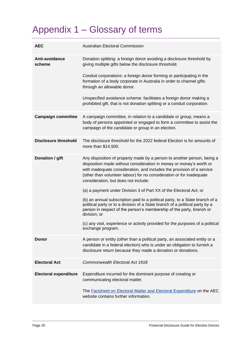# <span id="page-19-0"></span>Appendix 1 – Glossary of terms

| <b>AEC</b>                   | <b>Australian Electoral Commission</b>                                                                                                                                                                                                                                                                                                                                                                                                                                                                                                                                                                                                                                                                                                                                        |  |  |  |  |
|------------------------------|-------------------------------------------------------------------------------------------------------------------------------------------------------------------------------------------------------------------------------------------------------------------------------------------------------------------------------------------------------------------------------------------------------------------------------------------------------------------------------------------------------------------------------------------------------------------------------------------------------------------------------------------------------------------------------------------------------------------------------------------------------------------------------|--|--|--|--|
| Anti-avoidance<br>scheme     | Donation splitting: a foreign donor avoiding a disclosure threshold by<br>giving multiple gifts below the disclosure threshold.<br>Conduit corporations: a foreign donor forming or participating in the<br>formation of a body corporate in Australia in order to channel gifts<br>through an allowable donor.<br>Unspecified avoidance scheme: facilitates a foreign donor making a<br>prohibited gift, that is not donation splitting or a conduit corporation.                                                                                                                                                                                                                                                                                                            |  |  |  |  |
| <b>Campaign committee</b>    | A campaign committee, in relation to a candidate or group, means a<br>body of persons appointed or engaged to form a committee to assist the<br>campaign of the candidate or group in an election.                                                                                                                                                                                                                                                                                                                                                                                                                                                                                                                                                                            |  |  |  |  |
| <b>Disclosure threshold</b>  | The disclosure threshold for the 2022 federal Election is for amounts of<br>more than \$14,500.                                                                                                                                                                                                                                                                                                                                                                                                                                                                                                                                                                                                                                                                               |  |  |  |  |
| Donation / gift              | Any disposition of property made by a person to another person, being a<br>disposition made without consideration in money or money's worth or<br>with inadequate consideration, and includes the provision of a service<br>(other than volunteer labour) for no consideration or for inadequate<br>consideration, but does not include:<br>(a) a payment under Division 3 of Part XX of the Electoral Act; or<br>(b) an annual subscription paid to a political party, to a State branch of a<br>political party or to a division of a State branch of a political party by a<br>person in respect of the person's membership of the party, branch or<br>division; or<br>(c) any visit, experience or activity provided for the purposes of a political<br>exchange program. |  |  |  |  |
| Donor                        | A person or entity (other than a political party, an associated entity or a<br>candidate in a federal election) who is under an obligation to furnish a<br>disclosure return because they made a donation or donations.                                                                                                                                                                                                                                                                                                                                                                                                                                                                                                                                                       |  |  |  |  |
| <b>Electoral Act</b>         | Commonwealth Electoral Act 1918                                                                                                                                                                                                                                                                                                                                                                                                                                                                                                                                                                                                                                                                                                                                               |  |  |  |  |
| <b>Electoral expenditure</b> | Expenditure incurred for the dominant purpose of creating or<br>communicating electoral matter.<br>The <b>Factsheet on Electoral Matter and Electoral Expenditure on the AEC</b><br>website contains further information.                                                                                                                                                                                                                                                                                                                                                                                                                                                                                                                                                     |  |  |  |  |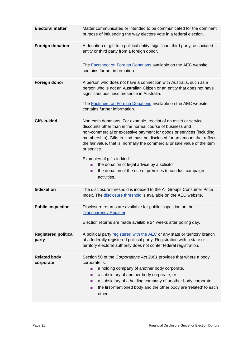| <b>Electoral matter</b>              | Matter communicated or intended to be communicated for the dominant<br>purpose of influencing the way electors vote in a federal election.                                                                                                                                                                                                                                                                                                                                                                                                 |  |  |  |  |
|--------------------------------------|--------------------------------------------------------------------------------------------------------------------------------------------------------------------------------------------------------------------------------------------------------------------------------------------------------------------------------------------------------------------------------------------------------------------------------------------------------------------------------------------------------------------------------------------|--|--|--|--|
| <b>Foreign donation</b>              | A donation or gift to a political entity, significant third party, associated<br>entity or third party from a foreign donor.<br>The <b>Factsheet on Foreign Donations</b> available on the AEC website<br>contains further information.                                                                                                                                                                                                                                                                                                    |  |  |  |  |
| Foreign donor                        | A person who does not have a connection with Australia, such as a<br>person who is not an Australian Citizen or an entity that does not have<br>significant business presence in Australia.<br>The Factsheet on Foreign Donations available on the AEC website<br>contains further information.                                                                                                                                                                                                                                            |  |  |  |  |
| Gift-in-kind                         | Non-cash donations. For example, receipt of an asset or service,<br>discounts other than in the normal course of business and<br>non-commercial or excessive payment for goods or services (including<br>membership). Gifts-in-kind must be disclosed for an amount that reflects<br>the fair value, that is, normally the commercial or sale value of the item<br>or service.<br>Examples of gifts-in-kind:<br>the donation of legal advice by a solicitor<br>the donation of the use of premises to conduct campaign<br>п<br>activities. |  |  |  |  |
| <b>Indexation</b>                    | The disclosure threshold is indexed to the All Groups Consumer Price<br>Index. The disclosure threshold is available on the AEC website.                                                                                                                                                                                                                                                                                                                                                                                                   |  |  |  |  |
| <b>Public inspection</b>             | Disclosure returns are available for public inspection on the<br><b>Transparency Register</b> .<br>Election returns are made available 24 weeks after polling day.                                                                                                                                                                                                                                                                                                                                                                         |  |  |  |  |
| <b>Registered political</b><br>party | A political party registered with the AEC or any state or territory branch<br>of a federally registered political party. Registration with a state or<br>territory electoral authority does not confer federal registration.                                                                                                                                                                                                                                                                                                               |  |  |  |  |
| <b>Related body</b><br>corporate     | Section 50 of the Corporations Act 2001 provides that where a body<br>corporate is:<br>a holding company of another body corporate,<br>$\mathbf{r}$<br>a subsidiary of another body corporate, or<br>п<br>a subsidiary of a holding company of another body corporate,<br>п<br>the first-mentioned body and the other body are 'related' to each<br>п<br>other.                                                                                                                                                                            |  |  |  |  |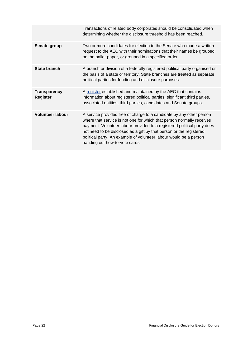|                                        | Transactions of related body corporates should be consolidated when<br>determining whether the disclosure threshold has been reached.                                                                                                                                                                                                                                                                  |
|----------------------------------------|--------------------------------------------------------------------------------------------------------------------------------------------------------------------------------------------------------------------------------------------------------------------------------------------------------------------------------------------------------------------------------------------------------|
| Senate group                           | Two or more candidates for election to the Senate who made a written<br>request to the AEC with their nominations that their names be grouped<br>on the ballot-paper, or grouped in a specified order.                                                                                                                                                                                                 |
| State branch                           | A branch or division of a federally registered political party organised on<br>the basis of a state or territory. State branches are treated as separate<br>political parties for funding and disclosure purposes.                                                                                                                                                                                     |
| <b>Transparency</b><br><b>Register</b> | A register established and maintained by the AEC that contains<br>information about registered political parties, significant third parties,<br>associated entities, third parties, candidates and Senate groups.                                                                                                                                                                                      |
| <b>Volunteer labour</b>                | A service provided free of charge to a candidate by any other person<br>where that service is not one for which that person normally receives<br>payment. Volunteer labour provided to a registered political party does<br>not need to be disclosed as a gift by that person or the registered<br>political party. An example of volunteer labour would be a person<br>handing out how-to-vote cards. |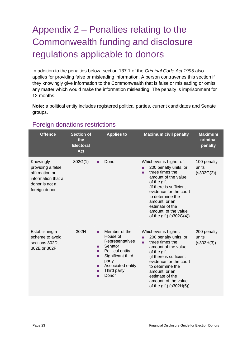# <span id="page-22-0"></span>Appendix 2 – Penalties relating to the Commonwealth funding and disclosure regulations applicable to donors

In addition to the penalties below, section 137.1 of the *Criminal Code Act 1995* also applies for providing false or misleading information. A person contravenes this section if they knowingly give information to the Commonwealth that is false or misleading or omits any matter which would make the information misleading. The penalty is imprisonment for 12 months.

**Note:** a political entity includes registered political parties, current candidates and Senate groups.

| <b>Offence</b>                                                                                            | <b>Section of</b><br>the<br><b>Electoral</b><br><b>Act</b> | <b>Applies to</b>                                                                                                                                                                          | <b>Maximum civil penalty</b>                                                                                                                                                                                                                                                       | <b>Maximum</b><br>criminal<br>penalty |
|-----------------------------------------------------------------------------------------------------------|------------------------------------------------------------|--------------------------------------------------------------------------------------------------------------------------------------------------------------------------------------------|------------------------------------------------------------------------------------------------------------------------------------------------------------------------------------------------------------------------------------------------------------------------------------|---------------------------------------|
| Knowingly<br>providing a false<br>affirmation or<br>information that a<br>donor is not a<br>foreign donor | 302G(1)                                                    | Donor<br>ш                                                                                                                                                                                 | Whichever is higher of:<br>200 penalty units, or<br>three times the<br>п<br>amount of the value<br>of the gift<br>(if there is sufficient<br>evidence for the court<br>to determine the<br>amount, or an<br>estimate of the<br>amount, of the value<br>of the gift) $(s302G(4))$   | 100 penalty<br>units<br>(s302G(2))    |
| Establishing a<br>scheme to avoid<br>sections 302D,<br>302E or 302F                                       | 302H                                                       | Member of the<br>п<br>House of<br>Representatives<br>Senator<br>m.<br>Political entity<br>п<br>Significant third<br>п<br>party<br>Associated entity<br>п<br>Third party<br>п<br>Donor<br>п | Whichever is higher:<br>200 penalty units, or<br>п<br>three times the<br>٠<br>amount of the value<br>of the gift<br>(if there is sufficient<br>evidence for the court<br>to determine the<br>amount, or an<br>estimate of the<br>amount, of the value<br>of the gift) $(s302H(5))$ | 200 penalty<br>units<br>(s302H(3))    |

#### Foreign donations restrictions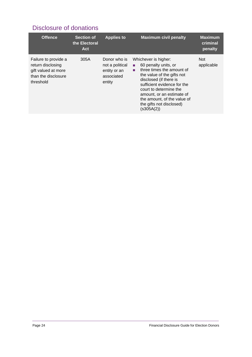#### Disclosure of donations

| <b>Offence</b>                                                                                       | <b>Section of</b><br>the Electoral<br>Act | <b>Applies to</b>                                                       | <b>Maximum civil penalty</b>                                                                                                                                                                                                                                                                                | <b>Maximum</b><br>criminal<br>penalty |
|------------------------------------------------------------------------------------------------------|-------------------------------------------|-------------------------------------------------------------------------|-------------------------------------------------------------------------------------------------------------------------------------------------------------------------------------------------------------------------------------------------------------------------------------------------------------|---------------------------------------|
| Failure to provide a<br>return disclosing<br>gift valued at more<br>than the disclosure<br>threshold | 305A                                      | Donor who is<br>not a political<br>entity or an<br>associated<br>entity | Whichever is higher:<br>60 penalty units, or<br>п.<br>three times the amount of<br>п<br>the value of the gifts not<br>disclosed (if there is<br>sufficient evidence for the<br>court to determine the<br>amount, or an estimate of<br>the amount, of the value of<br>the gifts not disclosed)<br>(s305A(2)) | Not.<br>applicable                    |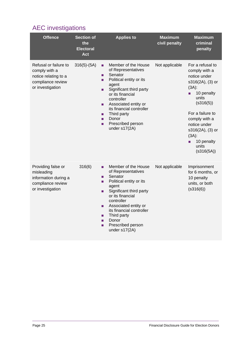## AEC investigations

| <b>Offence</b>                                                                                          | <b>Section of</b><br>the<br><b>Electoral</b><br><b>Act</b> | <b>Applies to</b>                                                                                                                                                                                                                                                                                               | <b>Maximum</b><br>civil penalty | <b>Maximum</b><br>criminal<br>penalty                                                                                                                                                                                                                     |
|---------------------------------------------------------------------------------------------------------|------------------------------------------------------------|-----------------------------------------------------------------------------------------------------------------------------------------------------------------------------------------------------------------------------------------------------------------------------------------------------------------|---------------------------------|-----------------------------------------------------------------------------------------------------------------------------------------------------------------------------------------------------------------------------------------------------------|
| Refusal or failure to<br>comply with a<br>notice relating to a<br>compliance review<br>or investigation | $316(5)-(5A)$                                              | Member of the House<br>٠<br>of Representatives<br>Senator<br>п<br>Political entity or its<br>п<br>agent<br>Significant third party<br>п<br>or its financial<br>controller<br>Associated entity or<br>п<br>its financial controller<br>Third party<br>٠<br>Donor<br>п<br>Prescribed person<br>п<br>under s17(2A) | Not applicable                  | For a refusal to<br>comply with a<br>notice under<br>s316(2A), (3) or<br>$(3A)$ :<br>10 penalty<br>п<br>units<br>(s316(5))<br>For a failure to<br>comply with a<br>notice under<br>s316(2A), (3) or<br>$(3A)$ :<br>10 penalty<br>п<br>units<br>(s316(5A)) |
| Providing false or<br>misleading<br>information during a<br>compliance review<br>or investigation       | 316(6)                                                     | Member of the House<br>٠<br>of Representatives<br>Senator<br>п<br>Political entity or its<br>п<br>agent<br>Significant third party<br>٠<br>or its financial<br>controller<br>Associated entity or<br>п<br>its financial controller<br>Third party<br>п<br>Donor<br>п<br>Prescribed person<br>п<br>under s17(2A) | Not applicable                  | Imprisonment<br>for 6 months, or<br>10 penalty<br>units, or both<br>(S316(6))                                                                                                                                                                             |